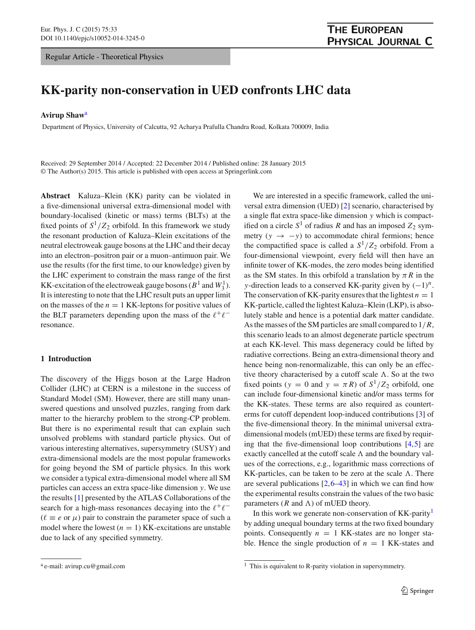Regular Article - Theoretical Physics

# **KK-parity non-conservation in UED confronts LHC data**

### **Avirup Shaw**<sup>a</sup>

Department of Physics, University of Calcutta, 92 Acharya Prafulla Chandra Road, Kolkata 700009, India

Received: 29 September 2014 / Accepted: 22 December 2014 / Published online: 28 January 2015 © The Author(s) 2015. This article is published with open access at Springerlink.com

**Abstract** Kaluza–Klein (KK) parity can be violated in a five-dimensional universal extra-dimensional model with boundary-localised (kinetic or mass) terms (BLTs) at the fixed points of  $S^1/Z_2$  orbifold. In this framework we study the resonant production of Kaluza–Klein excitations of the neutral electroweak gauge bosons at the LHC and their decay into an electron–positron pair or a muon–antimuon pair. We use the results (for the first time, to our knowledge) given by the LHC experiment to constrain the mass range of the first KK-excitation of the electroweak gauge bosons ( $B^1$  and  $W_3^1$ ). It is interesting to note that the LHC result puts an upper limit on the masses of the  $n = 1$  KK-leptons for positive values of the BLT parameters depending upon the mass of the  $\ell^+ \ell^$ resonance.

### **1 Introduction**

The discovery of the Higgs boson at the Large Hadron Collider (LHC) at CERN is a milestone in the success of Standard Model (SM). However, there are still many unanswered questions and unsolved puzzles, ranging from dark matter to the hierarchy problem to the strong-CP problem. But there is no experimental result that can explain such unsolved problems with standard particle physics. Out of various interesting alternatives, supersymmetry (SUSY) and extra-dimensional models are the most popular frameworks for going beyond the SM of particle physics. In this work we consider a typical extra-dimensional model where all SM particles can access an extra space-like dimension *y*. We use the results [\[1](#page-6-0)] presented by the ATLAS Collaborations of the search for a high-mass resonances decaying into the  $\ell^+ \ell^ (\ell \equiv e \text{ or } \mu)$  pair to constrain the parameter space of such a model where the lowest  $(n = 1)$  KK-excitations are unstable due to lack of any specified symmetry.

We are interested in a specific framework, called the universal extra dimension (UED) [\[2\]](#page-6-1) scenario, characterised by a single flat extra space-like dimension *y* which is compactified on a circle  $S^1$  of radius *R* and has an imposed  $Z_2$  symmetry  $(y \rightarrow -y)$  to accommodate chiral fermions; hence the compactified space is called a  $S^1/Z_2$  orbifold. From a four-dimensional viewpoint, every field will then have an infinite tower of KK-modes, the zero modes being identified as the SM states. In this orbifold a translation by  $\pi R$  in the *y*-direction leads to a conserved KK-parity given by  $(-1)^n$ . The conservation of KK-parity ensures that the lightest  $n = 1$ KK-particle, called the lightest Kaluza–Klein (LKP), is absolutely stable and hence is a potential dark matter candidate. As the masses of the SM particles are small compared to 1/*R*, this scenario leads to an almost degenerate particle spectrum at each KK-level. This mass degeneracy could be lifted by radiative corrections. Being an extra-dimensional theory and hence being non-renormalizable, this can only be an effective theory characterised by a cutoff scale  $\Lambda$ . So at the two fixed points ( $y = 0$  and  $y = \pi R$ ) of  $S^1/Z_2$  orbifold, one can include four-dimensional kinetic and/or mass terms for the KK-states. These terms are also required as counterterms for cutoff dependent loop-induced contributions [\[3](#page-6-2)] of the five-dimensional theory. In the minimal universal extradimensional models (mUED) these terms are fixed by requiring that the five-dimensional loop contributions [\[4](#page-6-3),[5\]](#page-6-4) are exactly cancelled at the cutoff scale  $\Lambda$  and the boundary values of the corrections, e.g., logarithmic mass corrections of KK-particles, can be taken to be zero at the scale  $\Lambda$ . There are several publications  $[2,6-43]$  $[2,6-43]$  $[2,6-43]$  $[2,6-43]$  in which we can find how the experimental results constrain the values of the two basic parameters  $(R \text{ and } \Lambda)$  of mUED theory.

In this work we generate non-conservation of KK-parity<sup>1</sup> by adding unequal boundary terms at the two fixed boundary points. Consequently  $n = 1$  KK-states are no longer stable. Hence the single production of  $n = 1$  KK-states and

<sup>a</sup> e-mail: avirup.cu@gmail.com

<span id="page-0-0"></span> $1$  This is equivalent to R-parity violation in supersymmetry.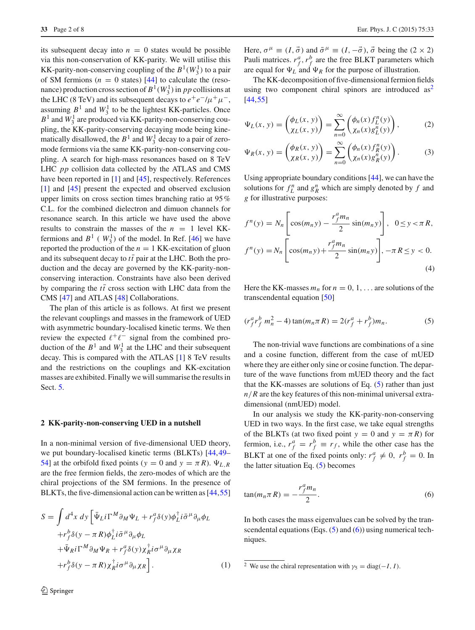its subsequent decay into  $n = 0$  states would be possible via this non-conservation of KK-parity. We will utilise this KK-parity-non-conserving coupling of the  $B^1(W_3^1)$  to a pair of SM fermions  $(n = 0 \text{ states})$  [\[44](#page-7-1)] to calculate the (resonance) production cross section of  $B^1(W_3^1)$  in *pp* collisions at the LHC (8 TeV) and its subsequent decays to  $e^+e^-/\mu^+\mu^-$ , assuming  $B^1$  and  $W_3^1$  to be the lightest KK-particles. Once  $B<sup>1</sup>$  and  $W<sub>3</sub><sup>1</sup>$  are produced via KK-parity-non-conserving coupling, the KK-parity-conserving decaying mode being kinematically disallowed, the  $B^1$  and  $W_3^1$  decay to a pair of zeromode fermions via the same KK-parity-non-conserving coupling. A search for high-mass resonances based on 8 TeV LHC *pp* collision data collected by the ATLAS and CMS have been reported in [\[1](#page-6-0)] and [\[45](#page-7-2)], respectively. References [\[1](#page-6-0)] and [\[45](#page-7-2)] present the expected and observed exclusion upper limits on cross section times branching ratio at 95 % C.L. for the combined dielectron and dimuon channels for resonance search. In this article we have used the above results to constrain the masses of the  $n = 1$  level KKfermions and  $B^1$  ( $W_3^1$ ) of the model. In Ref. [\[46\]](#page-7-3) we have reported the production of the  $n = 1$  KK-excitation of gluon and its subsequent decay to  $t\bar{t}$  pair at the LHC. Both the production and the decay are governed by the KK-parity-nonconserving interaction. Constraints have also been derived by comparing the  $t\bar{t}$  cross section with LHC data from the CMS [\[47\]](#page-7-4) and ATLAS [\[48](#page-7-5)] Collaborations.

The plan of this article is as follows. At first we present the relevant couplings and masses in the framework of UED with asymmetric boundary-localised kinetic terms. We then review the expected  $\ell^+ \ell^-$  signal from the combined production of the  $B^1$  and  $W_3^1$  at the LHC and their subsequent decay. This is compared with the ATLAS [\[1](#page-6-0)] 8 TeV results and the restrictions on the couplings and KK-excitation masses are exhibited. Finally we will summarise the results in Sect. [5.](#page-6-6)

#### **2 KK-parity-non-conserving UED in a nutshell**

In a non-minimal version of five-dimensional UED theory, we put boundary-localised kinetic terms (BLKTs) [\[44](#page-7-1)[,49](#page-7-6)– [54\]](#page-7-7) at the orbifold fixed points ( $y = 0$  and  $y = \pi R$ ).  $\Psi_{L,R}$ are the free fermion fields, the zero-modes of which are the chiral projections of the SM fermions. In the presence of BLKTs, the five-dimensional action can be written as [\[44,](#page-7-1)[55\]](#page-7-8)

<span id="page-1-3"></span>
$$
S = \int d^4x \, dy \left[ \bar{\Psi}_L i \Gamma^M \partial_M \Psi_L + r_f^a \delta(y) \phi_L^{\dagger} i \bar{\sigma}^\mu \partial_\mu \phi_L \right. \n+ r_f^b \delta(y - \pi R) \phi_L^{\dagger} i \bar{\sigma}^\mu \partial_\mu \phi_L \n+ \bar{\Psi}_R i \Gamma^M \partial_M \Psi_R + r_f^a \delta(y) \chi_R^{\dagger} i \sigma^\mu \partial_\mu \chi_R \n+ r_f^b \delta(y - \pi R) \chi_R^{\dagger} i \sigma^\mu \partial_\mu \chi_R \right].
$$
\n(1)

Here,  $\sigma^{\mu} \equiv (I, \vec{\sigma})$  and  $\bar{\sigma}^{\mu} \equiv (I, -\vec{\sigma}), \vec{\sigma}$  being the  $(2 \times 2)$ Pauli matrices.  $r_f^a$ ,  $r_f^b$  are the free BLKT parameters which are equal for  $\Psi_L$  and  $\Psi_R$  for the purpose of illustration.

The KK-decomposition of five-dimensional fermion fields using two component chiral spinors are introduced  $as<sup>2</sup>$  $as<sup>2</sup>$  $as<sup>2</sup>$ [\[44](#page-7-1),[55\]](#page-7-8)

$$
\Psi_L(x, y) = \begin{pmatrix} \phi_L(x, y) \\ \chi_L(x, y) \end{pmatrix} = \sum_{n=0}^{\infty} \begin{pmatrix} \phi_n(x) f^n_L(y) \\ \chi_n(x) g^n_L(y) \end{pmatrix},
$$
 (2)

$$
\Psi_R(x, y) = \begin{pmatrix} \phi_R(x, y) \\ \chi_R(x, y) \end{pmatrix} = \sum_{n=0}^{\infty} \begin{pmatrix} \phi_n(x) f_R^n(y) \\ \chi_n(x) g_R^n(y) \end{pmatrix}.
$$
 (3)

Using appropriate boundary conditions [\[44](#page-7-1)], we can have the solutions for  $f_L^n$  and  $g_R^n$  which are simply denoted by  $f$  and *g* for illustrative purposes:

$$
f^{n}(y) = N_{n} \left[ \cos(m_{n}y) - \frac{r_{f}^{a}m_{n}}{2} \sin(m_{n}y) \right], \quad 0 \le y < \pi R,
$$
  

$$
f^{n}(y) = N_{n} \left[ \cos(m_{n}y) + \frac{r_{f}^{a}m_{n}}{2} \sin(m_{n}y) \right], -\pi R \le y < 0.
$$
  
(4)

<span id="page-1-1"></span>Here the KK-masses  $m_n$  for  $n = 0, 1, \ldots$  are solutions of the transcendental equation [\[50](#page-7-9)]

$$
(r_f^a r_f^b m_n^2 - 4) \tan(m_n \pi R) = 2(r_f^a + r_f^b) m_n.
$$
 (5)

The non-trivial wave functions are combinations of a sine and a cosine function, different from the case of mUED where they are either only sine or cosine function. The departure of the wave functions from mUED theory and the fact that the KK-masses are solutions of Eq. [\(5\)](#page-1-1) rather than just  $n/R$  are the key features of this non-minimal universal extradimensional (nmUED) model.

In our analysis we study the KK-parity-non-conserving UED in two ways. In the first case, we take equal strengths of the BLKTs (at two fixed point  $y = 0$  and  $y = \pi R$ ) for fermion, i.e.,  $r_f^a = r_f^b \equiv r_f$ , while the other case has the BLKT at one of the fixed points only:  $r_f^a \neq 0$ ,  $r_f^b = 0$ . In the latter situation Eq.  $(5)$  becomes

<span id="page-1-2"></span>
$$
\tan(m_n \pi R) = -\frac{r_f^a m_n}{2}.
$$
\n(6)

In both cases the mass eigenvalues can be solved by the transcendental equations (Eqs.  $(5)$  and  $(6)$ ) using numerical techniques.

<span id="page-1-0"></span><sup>&</sup>lt;sup>2</sup> We use the chiral representation with  $\gamma_5 = \text{diag}(-I, I)$ .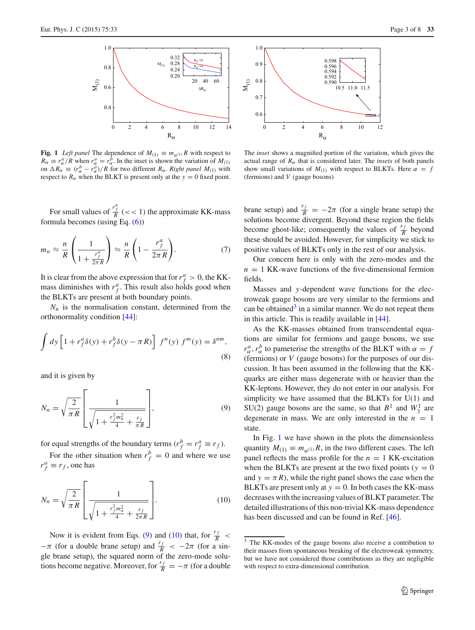

<span id="page-2-3"></span>**Fig. 1** *Left panel* The dependence of  $M_{(1)} \equiv m_{\alpha^{(1)}} R$  with respect to  $R_{\alpha} \equiv r_{\alpha}^a/R$  when  $r_{\alpha}^a = r_{\alpha}^b$ . In the inset is shown the variation of  $M_{(1)}$ on  $\Delta R_{\alpha} \equiv (r_{\alpha}^b - r_{\alpha}^a)/R$  for two different  $R_{\alpha}$ . *Right panel M*<sub>(1)</sub> with respect to  $R_\alpha$  when the BLKT is present only at the  $y = 0$  fixed point.

For small values of  $\frac{r_f^a}{R}$  (<< 1) the approximate KK-mass formula becomes (using Eq. [\(6\)](#page-1-2))

$$
m_n \approx \frac{n}{R} \left( \frac{1}{1 + \frac{r_f^a}{2\pi R}} \right) \approx \frac{n}{R} \left( 1 - \frac{r_f^a}{2\pi R} \right). \tag{7}
$$

It is clear from the above expression that for  $r_f^a > 0$ , the KKmass diminishes with  $r_f^a$ . This result also holds good when the BLKTs are present at both boundary points.

 $N_n$  is the normalisation constant, determined from the orthonormality condition [\[44\]](#page-7-1):

$$
\int dy \left[ 1 + r_f^a \delta(y) + r_f^b \delta(y - \pi R) \right] f^n(y) f^m(y) = \delta^{nm},\tag{8}
$$

<span id="page-2-0"></span>and it is given by

$$
N_n = \sqrt{\frac{2}{\pi R}} \left[ \frac{1}{\sqrt{1 + \frac{r_f^2 m_n^2}{4} + \frac{r_f}{\pi R}}} \right],
$$
(9)

for equal strengths of the boundary terms  $(r_f^b = r_f^a \equiv r_f)$ .

<span id="page-2-1"></span>For the other situation when  $r_f^b = 0$  and where we use  $r_f^a \equiv r_f$ , one has

$$
N_n = \sqrt{\frac{2}{\pi R}} \left[ \frac{1}{\sqrt{1 + \frac{r_f^2 m_n^2}{4} + \frac{r_f}{2\pi R}}} \right].
$$
 (10)

Now it is evident from Eqs. [\(9\)](#page-2-0) and [\(10\)](#page-2-1) that, for  $\frac{r_f}{R}$  <  $-\pi$  (for a double brane setup) and  $\frac{r_f}{R} < -2\pi$  (for a single brane setup), the squared norm of the zero-mode solutions become negative. Moreover, for  $\frac{r_f}{R} = -\pi$  (for a double



The *inset* shows a magnified portion of the variation, which gives the actual range of  $R_\alpha$  that is considered later. The *insets* of both panels show small variations of  $M_{(1)}$  with respect to BLKTs. Here  $\alpha = f$ (fermions) and *V* (gauge bosons)

brane setup) and  $\frac{r_f}{R} = -2\pi$  (for a single brane setup) the solutions become divergent. Beyond these region the fields become ghost-like; consequently the values of  $\frac{r_f}{R}$  beyond these should be avoided. However, for simplicity we stick to positive values of BLKTs only in the rest of our analysis.

Our concern here is only with the zero-modes and the  $n = 1$  KK-wave functions of the five-dimensional fermion fields.

Masses and *y*-dependent wave functions for the electroweak gauge bosons are very similar to the fermions and can be obtained $3$  in a similar manner. We do not repeat them in this article. This is readily available in [\[44](#page-7-1)].

As the KK-masses obtained from transcendental equations are similar for fermions and gauge bosons, we use  $r_{\alpha}^{a}$ ,  $r_{\alpha}^{b}$  to pameterise the strengths of the BLKT with  $\alpha = f$ (fermions) or *V* (gauge bosons) for the purposes of our discussion. It has been assumed in the following that the KKquarks are either mass degenerate with or heavier than the KK-leptons. However, they do not enter in our analysis. For simplicity we have assumed that the BLKTs for U(1) and SU(2) gauge bosons are the same, so that  $B^1$  and  $W_3^1$  are degenerate in mass. We are only interested in the  $n = 1$ state.

In Fig. [1](#page-2-3) we have shown in the plots the dimensionless quantity  $M_{(1)} \equiv m_{\alpha^{(1)}} R$ , in the two different cases. The left panel reflects the mass profile for the  $n = 1$  KK-excitation when the BLKTs are present at the two fixed points ( $y = 0$ and  $y = \pi R$ ), while the right panel shows the case when the BLKTs are present only at  $y = 0$ . In both cases the KK-mass decreases with the increasing values of BLKT parameter. The detailed illustrations of this non-trivial KK-mass dependence has been discussed and can be found in Ref. [\[46\]](#page-7-3).

<span id="page-2-2"></span> $\frac{3}{3}$  The KK-modes of the gauge bosons also receive a contribution to their masses from spontaneous breaking of the electroweak symmetry, but we have not considered those contributions as they are negligible with respect to extra-dimensional contribution.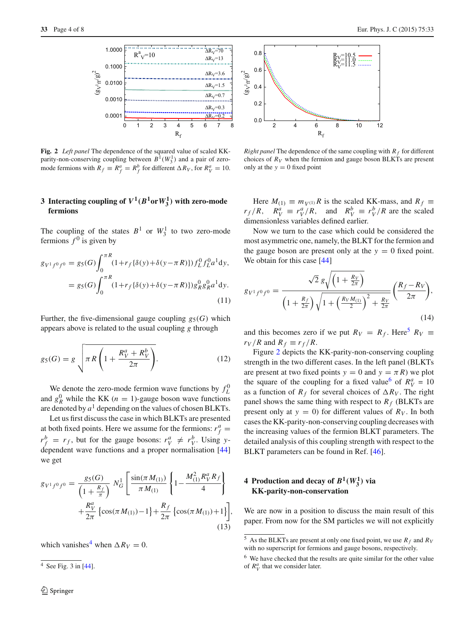

<span id="page-3-2"></span>**Fig. 2** *Left panel* The dependence of the squared value of scaled KKparity-non-conserving coupling between  $B^1(W_3^1)$  and a pair of zeromode fermions with  $R_f \equiv R_f^a = R_f^b$  for different  $\Delta R_V$ , for  $R_V^a = 10$ .

# **3** Interacting coupling of  $V^1(B^1$ or $W_3^1)$  with zero-mode **fermions**

The coupling of the states  $B^1$  or  $W_3^1$  to two zero-mode fermions  $f^0$  is given by

<span id="page-3-6"></span>
$$
g_{V^1 f^0 f^0} = g_5(G) \int_0^{\pi R} (1 + r_f \{\delta(y) + \delta(y - \pi R)\}) f_L^0 f_L^0 a^1 dy,
$$
  
=  $g_5(G) \int_0^{\pi R} (1 + r_f \{\delta(y) + \delta(y - \pi R)\}) g_R^0 g_R^0 a^1 dy.$  (11)

Further, the five-dimensional gauge coupling  $g_5(G)$  which appears above is related to the usual coupling *g* through

$$
g_5(G) = g \sqrt{\pi R \left(1 + \frac{R_V^a + R_V^b}{2\pi}\right)}.
$$
 (12)

We denote the zero-mode fermion wave functions by  $f_L^0$ and  $g_R^0$  while the KK ( $n = 1$ )-gauge boson wave functions are denoted by  $a<sup>1</sup>$  depending on the values of chosen BLKTs.

Let us first discuss the case in which BLKTs are presented at both fixed points. Here we assume for the fermions:  $r_f^a$  =  $r_f^b = r_f$ , but for the gauge bosons:  $r_V^a \neq r_V^b$ . Using *y*dependent wave functions and a proper normalisation [\[44\]](#page-7-1) we get

<span id="page-3-4"></span>
$$
g_{V^1 f^0 f^0} = \frac{g_5(G)}{\left(1 + \frac{R_f}{\pi}\right)} N_G^1 \left[ \frac{\sin(\pi M_{(1)})}{\pi M_{(1)}} \left\{ 1 - \frac{M_{(1)}^2 R_V^a R_f}{4} \right\} + \frac{R_V^a}{2\pi} \left\{ \cos(\pi M_{(1)}) - 1 \right\} + \frac{R_f}{2\pi} \left\{ \cos(\pi M_{(1)}) + 1 \right\} \right],
$$
\n(13)

which vanishes<sup>[4](#page-3-0)</sup> when  $\Delta R_V = 0$ .

<span id="page-3-0"></span> $4$  See Fig. 3 in [\[44](#page-7-1)].



*Right panel* The dependence of the same coupling with  $R_f$  for different choices of  $R_V$  when the fermion and gauge boson BLKTs are present only at the  $y = 0$  fixed point

Here  $M_{(1)} \equiv m_{V^{(1)}} R$  is the scaled KK-mass, and  $R_f \equiv$  $r_f/R$ ,  $R_V^a \equiv r_V^a/R$ , and  $R_V^b \equiv r_V^b/R$  are the scaled dimensionless variables defined earlier.

Now we turn to the case which could be considered the most asymmetric one, namely, the BLKT for the fermion and the gauge boson are present only at the  $y = 0$  fixed point. We obtain for this case [\[44\]](#page-7-1)

<span id="page-3-5"></span>
$$
g_{V^1 f^0 f^0} = \frac{\sqrt{2} g \sqrt{\left(1 + \frac{R_V}{2\pi}\right)}}{\left(1 + \frac{R_f}{2\pi}\right) \sqrt{1 + \left(\frac{R_V M_{(1)}}{2}\right)^2 + \frac{R_V}{2\pi}}} \left(\frac{R_f - R_V}{2\pi}\right),\tag{14}
$$

and this becomes zero if we put  $R_V = R_f$ . Here<sup>5</sup>  $R_V \equiv$  $r_V/R$  and  $R_f \equiv r_f/R$ .

Figure [2](#page-3-2) depicts the KK-parity-non-conserving coupling strength in the two different cases. In the left panel (BLKTs are present at two fixed points  $y = 0$  and  $y = \pi R$ ) we plot the square of the coupling for a fixed value<sup>[6](#page-3-3)</sup> of  $R_V^a = 10$ as a function of  $R_f$  for several choices of  $\Delta R_V$ . The right panel shows the same thing with respect to  $R_f$  (BLKTs are present only at  $y = 0$ ) for different values of  $R_V$ . In both cases the KK-parity-non-conserving coupling decreases with the increasing values of the fermion BLKT parameters. The detailed analysis of this coupling strength with respect to the BLKT parameters can be found in Ref. [\[46\]](#page-7-3).

# **4** Production and decay of  $B^1(W_3^1)$  via **KK-parity-non-conservation**

We are now in a position to discuss the main result of this paper. From now for the SM particles we will not explicitly

<span id="page-3-1"></span> $\frac{5}{5}$  As the BLKTs are present at only one fixed point, we use  $R_f$  and  $R_V$ with no superscript for fermions and gauge bosons, respectively.

<span id="page-3-3"></span><sup>6</sup> We have checked that the results are quite similar for the other value of  $R_V^a$  that we consider later.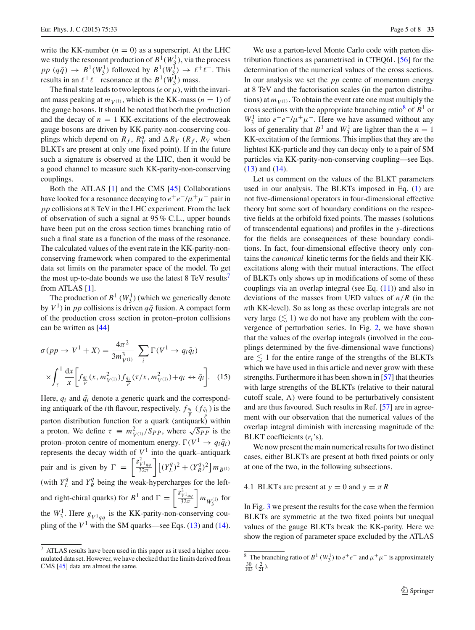write the KK-number  $(n = 0)$  as a superscript. At the LHC we study the resonant production of  $B^1(W_3^1)$ , via the process  $pp (q\bar{q}) \rightarrow B^1(W_3^1)$  followed by  $B^1(W_3^1) \rightarrow \ell^+ \ell^-$ . This results in an  $\ell^+ \ell^-$  resonance at the  $B^1(W_3^1)$  mass.

The final state leads to two leptons ( $e$  or  $\mu$ ), with the invariant mass peaking at  $m_{V^{(1)}}$ , which is the KK-mass ( $n = 1$ ) of the gauge bosons. It should be noted that both the production and the decay of  $n = 1$  KK-excitations of the electroweak gauge bosons are driven by KK-parity-non-conserving couplings which depend on  $R_f$ ,  $R_V^a$  and  $\Delta R_V$  ( $R_f$ ,  $R_V$  when BLKTs are present at only one fixed point). If in the future such a signature is observed at the LHC, then it would be a good channel to measure such KK-parity-non-conserving couplings.

Both the ATLAS [\[1](#page-6-0)] and the CMS [\[45](#page-7-2)] Collaborations have looked for a resonance decaying to  $e^+e^-/\mu^+\mu^-$  pair in *pp* collisions at 8 TeV in the LHC experiment. From the lack of observation of such a signal at 95 % C.L., upper bounds have been put on the cross section times branching ratio of such a final state as a function of the mass of the resonance. The calculated values of the event rate in the KK-parity-nonconserving framework when compared to the experimental data set limits on the parameter space of the model. To get the most up-to-date bounds we use the latest 8 TeV results<sup>7</sup> from ATLAS [\[1\]](#page-6-0).

The production of  $B^1$  ( $W_3^1$ ) (which we generically denote by  $V^1$ ) in *pp* collisions is driven  $q\bar{q}$  fusion. A compact form of the production cross section in proton–proton collisions can be written as [\[44](#page-7-1)]

$$
\sigma(pp \to V^{1} + X) = \frac{4\pi^{2}}{3m_{V^{(1)}}^{3}} \sum_{i} \Gamma(V^{1} \to q_{i}\bar{q}_{i})
$$

$$
\times \int_{\tau}^{1} \frac{dx}{x} \left[ f_{\frac{q_{i}}{p}}(x, m_{V^{(1)}}^{2}) f_{\frac{\bar{q}_{i}}{p}}(\tau/x, m_{V^{(1)}}^{2}) + q_{i} \leftrightarrow \bar{q}_{i} \right]. \quad (15)
$$

Here,  $q_i$  and  $\bar{q}_i$  denote a generic quark and the corresponding antiquark of the *i*th flavour, respectively.  $f_{\frac{q_i}{p}}(f_{\frac{\bar{q_i}}{p}})$  is the parton distribution function for a quark (antiquark) within parton distribution function for a quark (antiqual *x*) within<br>a proton. We define  $\tau \equiv m_{V^{(1)}}^2 / Sp_P$ , where  $\sqrt{Sp_P}$  is the proton–proton centre of momentum energy.  $\Gamma(V^1 \rightarrow q_i \bar{q}_i)$ represents the decay width of  $V^1$  into the quark–antiquark pair and is given by  $\Gamma = \left[\frac{g_{V^1qq}^2}{32\pi}\right]$  $\left[\frac{V^1_{V^1qq}}{32\pi}\right] \left[(Y_L^q)^2 + (Y_R^q)^2\right] m_{B^{(1)}}$ (with  $Y_L^q$  and  $Y_R^q$  being the weak-hypercharges for the leftand right-chiral quarks) for  $B^1$  and  $\Gamma = \begin{bmatrix} g_{V^1q}^2 \\ \frac{32\pi}{N} \end{bmatrix}$  $32\pi$  $\bigg\}$  *m*<sub>*W*<sub>3</sub><sup>(1)</sup></sub> for the  $W_3^1$ . Here  $g_{V^1qq}$  is the KK-parity-non-conserving coupling of the  $V^1$  with the SM quarks—see Eqs. [\(13\)](#page-3-4) and [\(14\)](#page-3-5).

We use a parton-level Monte Carlo code with parton distribution functions as parametrised in CTEQ6L [\[56\]](#page-7-10) for the determination of the numerical values of the cross sections. In our analysis we set the *pp* centre of momentum energy at 8 TeV and the factorisation scales (in the parton distributions) at  $m_{V(1)}$ . To obtain the event rate one must multiply the cross sections with the appropriate branching ratio<sup>8</sup> of  $B<sup>1</sup>$  or  $W_3^1$  into  $e^+e^-/\mu^+\mu^-$ . Here we have assumed without any loss of generality that  $B^1$  and  $W_3^1$  are lighter than the  $n = 1$ KK-excitation of the fermions. This implies that they are the lightest KK-particle and they can decay only to a pair of SM particles via KK-parity-non-conserving coupling—see Eqs. [\(13\)](#page-3-4) and [\(14\)](#page-3-5).

Let us comment on the values of the BLKT parameters used in our analysis. The BLKTs imposed in Eq. [\(1\)](#page-1-3) are not five-dimensional operators in four-dimensional effective theory but some sort of boundary conditions on the respective fields at the orbifold fixed points. The masses (solutions of transcendental equations) and profiles in the *y*-directions for the fields are consequences of these boundary conditions. In fact, four-dimensional effective theory only contains the *canonical* kinetic terms for the fields and their KKexcitations along with their mutual interactions. The effect of BLKTs only shows up in modifications of some of these couplings via an overlap integral (see Eq.  $(11)$ ) and also in deviations of the masses from UED values of  $n/R$  (in the *n*th KK-level). So as long as these overlap integrals are not very large  $(\leq 1)$  we do not have any problem with the convergence of perturbation series. In Fig. [2,](#page-3-2) we have shown that the values of the overlap integrals (involved in the couplings determined by the five-dimensional wave functions) are  $\leq 1$  for the entire range of the strengths of the BLKTs which we have used in this article and never grow with these strengths. Furthermore it has been shown in [\[57\]](#page-7-11) that theories with large strengths of the BLKTs (relative to their natural cutoff scale,  $\Lambda$ ) were found to be perturbatively consistent and are thus favoured. Such results in Ref. [\[57](#page-7-11)] are in agreement with our observation that the numerical values of the overlap integral diminish with increasing magnitude of the BLKT coefficients (*ri*'s).

We now present the main numerical results for two distinct cases, either BLKTs are present at both fixed points or only at one of the two, in the following subsections.

4.1 BLKTs are present at  $y = 0$  and  $y = \pi R$ 

In Fig. [3](#page-5-0) we present the results for the case when the fermion BLKTs are symmetric at the two fixed points but unequal values of the gauge BLKTs break the KK-parity. Here we show the region of parameter space excluded by the ATLAS

<span id="page-4-0"></span><sup>7</sup> ATLAS results have been used in this paper as it used a higher accumulated data set. However, we have checked that the limits derived from CMS [\[45](#page-7-2)] data are almost the same.

<span id="page-4-1"></span><sup>&</sup>lt;sup>8</sup> The branching ratio of *B*<sup>1</sup> (*W*<sub>1</sub><sup>1</sup>) to  $e^+e^-$  and  $\mu^+\mu^-$  is approximately  $\frac{30}{2}$  ( $\frac{2}{2}$ )  $\frac{30}{103}$   $(\frac{2}{21})$ .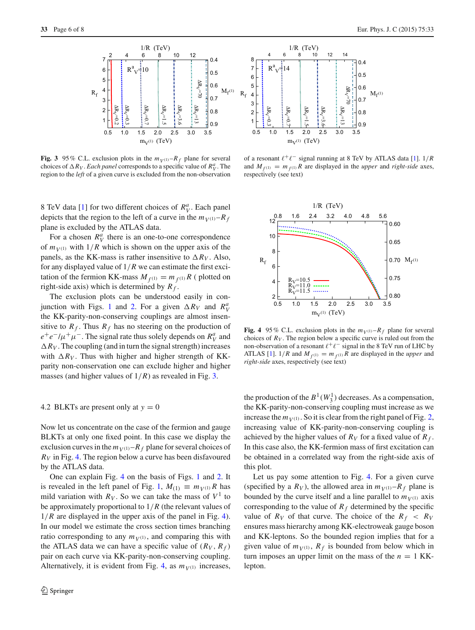

<span id="page-5-0"></span>**Fig. 3** 95 % C.L. exclusion plots in the  $m_{V(1)}-R_f$  plane for several choices of  $\Delta R_V$ . *Each panel* corresponds to a specific value of  $R_V^a$ . The region to the *left* of a given curve is excluded from the non-observation

8 TeV data [\[1\]](#page-6-0) for two different choices of  $R_V^a$ . Each panel depicts that the region to the left of a curve in the  $m_{V(1)}-R_f$ plane is excluded by the ATLAS data.

For a chosen  $R_V^a$  there is an one-to-one correspondence of  $m_{V^{(1)}}$  with  $1/R$  which is shown on the upper axis of the panels, as the KK-mass is rather insensitive to  $\Delta R_V$ . Also, for any displayed value of 1/*R* we can estimate the first excitation of the fermion KK-mass  $M_{f(1)} = m_{f(1)} R$  (plotted on right-side axis) which is determined by  $R_f$ .

The exclusion plots can be understood easily in con-junction with Figs. [1](#page-2-3) and [2.](#page-3-2) For a given  $\Delta R_V$  and  $R_V^a$ the KK-parity-non-conserving couplings are almost insensitive to  $R_f$ . Thus  $R_f$  has no steering on the production of  $e^+e^-/\mu^+\mu^-$ . The signal rate thus solely depends on  $R_V^a$  and  $\Delta R_V$ . The coupling (and in turn the signal strength) increases with  $\Delta R_V$ . Thus with higher and higher strength of KKparity non-conservation one can exclude higher and higher masses (and higher values of 1/*R*) as revealed in Fig. [3.](#page-5-0)

### 4.2 BLKTs are present only at  $y = 0$

Now let us concentrate on the case of the fermion and gauge BLKTs at only one fixed point. In this case we display the exclusion curves in the  $m_{V(1)}-R_f$  plane for several choices of *RV* in Fig. [4.](#page-5-1) The region below a curve has been disfavoured by the ATLAS data.

One can explain Fig. [4](#page-5-1) on the basis of Figs. [1](#page-2-3) and [2.](#page-3-2) It is revealed in the left panel of Fig. [1,](#page-2-3)  $M_{(1)} \equiv m_V(1)R$  has mild variation with  $R_V$ . So we can take the mass of  $V^1$  to be approximately proportional to 1/*R* (the relevant values of 1/*R* are displayed in the upper axis of the panel in Fig. [4\)](#page-5-1). In our model we estimate the cross section times branching ratio corresponding to any  $m_{V(1)}$ , and comparing this with the ATLAS data we can have a specific value of  $(R_V, R_f)$ pair on each curve via KK-parity-non-conserving coupling. Alternatively, it is evident from Fig. [4,](#page-5-1) as  $m_{V(1)}$  increases,



of a resonant  $\ell^+ \ell^-$  signal running at 8 TeV by ATLAS data [\[1](#page-6-0)].  $1/R$ and  $M_{f(1)} = m_{f(1)} R$  are displayed in the *upper* and *right-side* axes, respectively (see text)



<span id="page-5-1"></span>**Fig. 4** 95% C.L. exclusion plots in the  $m_V(1)-R_f$  plane for several choices of  $R_V$ . The region below a specific curve is ruled out from the non-observation of a resonant  $\ell^+ \ell^-$  signal in the 8 TeV run of LHC by ATLAS [\[1\]](#page-6-0).  $1/R$  and  $M_{f(1)} = m_{f(1)}R$  are displayed in the *upper* and *right-side* axes, respectively (see text)

the production of the  $B^1(W_3^1)$  decreases. As a compensation, the KK-parity-non-conserving coupling must increase as we increase the  $m_{V(1)}$ . So it is clear from the right panel of Fig. [2,](#page-3-2) increasing value of KK-parity-non-conserving coupling is achieved by the higher values of  $R_V$  for a fixed value of  $R_f$ . In this case also, the KK-fermion mass of first excitation can be obtained in a correlated way from the right-side axis of this plot.

Let us pay some attention to Fig. [4.](#page-5-1) For a given curve (specified by a  $R_V$ ), the allowed area in  $m_{V(1)}-R_f$  plane is bounded by the curve itself and a line parallel to  $m_{V^{(1)}}$  axis corresponding to the value of  $R_f$  determined by the specific value of  $R_V$  of that curve. The choice of the  $R_f < R_V$ ensures mass hierarchy among KK-electroweak gauge boson and KK-leptons. So the bounded region implies that for a given value of  $m_{V^{(1)}}, R_f$  is bounded from below which in turn imposes an upper limit on the mass of the  $n = 1$  KKlepton.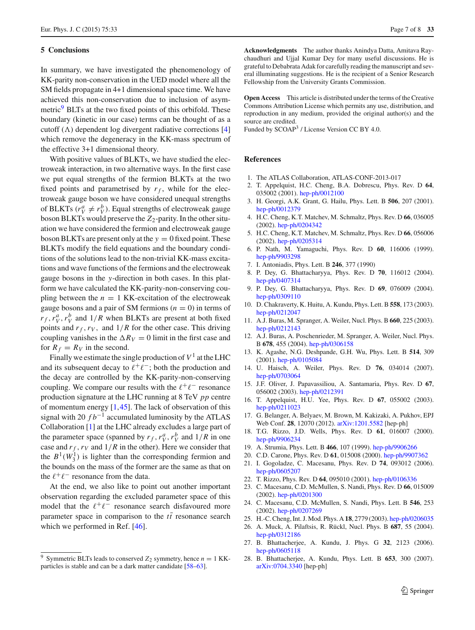#### <span id="page-6-6"></span>**5 Conclusions**

In summary, we have investigated the phenomenology of KK-parity non-conservation in the UED model where all the SM fields propagate in 4+1 dimensional space time. We have achieved this non-conservation due to inclusion of asymmetric $\frac{9}{9}$  BLTs at the two fixed points of this orbifold. These boundary (kinetic in our case) terms can be thought of as a cutoff  $(\Lambda)$  dependent log divergent radiative corrections [\[4\]](#page-6-3) which remove the degeneracy in the KK-mass spectrum of the effective 3+1 dimensional theory.

With positive values of BLKTs, we have studied the electroweak interaction, in two alternative ways. In the first case we put equal strengths of the fermion BLKTs at the two fixed points and parametrised by  $r_f$ , while for the electroweak gauge boson we have considered unequal strengths of BLKTs ( $r_V^a \neq r_V^b$ ). Equal strengths of electroweak gauge boson BLKTs would preserve the Z<sub>2</sub>-parity. In the other situation we have considered the fermion and electroweak gauge boson BLKTs are present only at the  $y = 0$  fixed point. These BLKTs modify the field equations and the boundary conditions of the solutions lead to the non-trivial KK-mass excitations and wave functions of the fermions and the electroweak gauge bosons in the *y*-direction in both cases. In this platform we have calculated the KK-parity-non-conserving coupling between the  $n = 1$  KK-excitation of the electroweak gauge bosons and a pair of SM fermions  $(n = 0)$  in terms of  $r_f$ ,  $r_V^a$ ,  $r_V^b$  and  $1/R$  when BLKTs are present at both fixed points and  $r_f$ ,  $r_V$ , and  $1/R$  for the other case. This driving coupling vanishes in the  $\Delta R_V = 0$  limit in the first case and for  $R_f = R_V$  in the second.

Finally we estimate the single production of  $V^1$  at the LHC and its subsequent decay to  $\ell^+\ell^-$ ; both the production and the decay are controlled by the KK-parity-non-conserving coupling. We compare our results with the  $\ell^+ \ell^-$  resonance production signature at the LHC running at 8 TeV *pp* centre of momentum energy  $[1,45]$  $[1,45]$  $[1,45]$ . The lack of observation of this signal with 20  $fb^{-1}$  accumulated luminosity by the ATLAS Collaboration [\[1](#page-6-0)] at the LHC already excludes a large part of the parameter space (spanned by  $r_f$ ,  $r_V^a$ ,  $r_V^b$  and  $1/R$  in one case and  $r_f$ ,  $r_V$  and  $1/R$  in the other). Here we consider that the  $B^1(W_3^1)$  is lighter than the corresponding fermion and the bounds on the mass of the former are the same as that on the  $\ell^+\ell^-$  resonance from the data.

At the end, we also like to point out another important observation regarding the excluded parameter space of this model that the  $\ell^+ \ell^-$  resonance search disfavoured more parameter space in comparison to the  $t\bar{t}$  resonance search which we performed in Ref. [\[46\]](#page-7-3).

**Acknowledgments** The author thanks Anindya Datta, Amitava Raychaudhuri and Ujjal Kumar Dey for many useful discussions. He is grateful to Debabrata Adak for carefully reading the manuscript and several illuminating suggestions. He is the recipient of a Senior Research Fellowship from the University Grants Commission.

**Open Access** This article is distributed under the terms of the Creative Commons Attribution License which permits any use, distribution, and reproduction in any medium, provided the original author(s) and the source are credited.

Funded by SCOAP<sup>3</sup> / License Version CC BY 4.0.

### **References**

- <span id="page-6-0"></span>1. The ATLAS Collaboration, ATLAS-CONF-2013-017
- <span id="page-6-1"></span>2. T. Appelquist, H.C. Cheng, B.A. Dobrescu, Phys. Rev. D **64**, 035002 (2001). [hep-ph/0012100](http://arxiv.org/abs/hep-ph/0012100)
- <span id="page-6-2"></span>3. H. Georgi, A.K. Grant, G. Hailu, Phys. Lett. B **506**, 207 (2001). [hep-ph/0012379](http://arxiv.org/abs/hep-ph/0012379)
- <span id="page-6-3"></span>4. H.C. Cheng, K.T. Matchev, M. Schmaltz, Phys. Rev. D **66**, 036005 (2002). [hep-ph/0204342](http://arxiv.org/abs/hep-ph/0204342)
- <span id="page-6-4"></span>5. H.C. Cheng, K.T. Matchev, M. Schmaltz, Phys. Rev. D **66**, 056006 (2002). [hep-ph/0205314](http://arxiv.org/abs/hep-ph/0205314)
- <span id="page-6-5"></span>6. P. Nath, M. Yamaguchi, Phys. Rev. D **60**, 116006 (1999). [hep-ph/9903298](http://arxiv.org/abs/hep-ph/9903298)
- 7. I. Antoniadis, Phys. Lett. B **246**, 377 (1990)
- 8. P. Dey, G. Bhattacharyya, Phys. Rev. D **70**, 116012 (2004). [hep-ph/0407314](http://arxiv.org/abs/hep-ph/0407314)
- 9. P. Dey, G. Bhattacharyya, Phys. Rev. D **69**, 076009 (2004). [hep-ph/0309110](http://arxiv.org/abs/hep-ph/0309110)
- 10. D. Chakraverty, K. Huitu, A. Kundu, Phys. Lett. B **558**, 173 (2003). [hep-ph/0212047](http://arxiv.org/abs/hep-ph/0212047)
- 11. A.J. Buras, M. Spranger, A. Weiler, Nucl. Phys. B **660**, 225 (2003). [hep-ph/0212143](http://arxiv.org/abs/hep-ph/0212143)
- 12. A.J. Buras, A. Poschenrieder, M. Spranger, A. Weiler, Nucl. Phys. B **678**, 455 (2004). [hep-ph/0306158](http://arxiv.org/abs/hep-ph/0306158)
- 13. K. Agashe, N.G. Deshpande, G.H. Wu, Phys. Lett. B **514**, 309 (2001). [hep-ph/0105084](http://arxiv.org/abs/hep-ph/0105084)
- 14. U. Haisch, A. Weiler, Phys. Rev. D **76**, 034014 (2007). [hep-ph/0703064](http://arxiv.org/abs/hep-ph/0703064)
- 15. J.F. Oliver, J. Papavassiliou, A. Santamaria, Phys. Rev. D **67**, 056002 (2003). [hep-ph/0212391](http://arxiv.org/abs/hep-ph/0212391)
- 16. T. Appelquist, H.U. Yee, Phys. Rev. D **67**, 055002 (2003). [hep-ph/0211023](http://arxiv.org/abs/hep-ph/0211023)
- 17. G. Belanger, A. Belyaev, M. Brown, M. Kakizaki, A. Pukhov, EPJ Web Conf. **28**, 12070 (2012). [arXiv:1201.5582](http://arxiv.org/abs/1201.5582) [hep-ph]
- 18. T.G. Rizzo, J.D. Wells, Phys. Rev. D **61**, 016007 (2000). [hep-ph/9906234](http://arxiv.org/abs/hep-ph/9906234)
- 19. A. Strumia, Phys. Lett. B **466**, 107 (1999). [hep-ph/9906266](http://arxiv.org/abs/hep-ph/9906266)
- 20. C.D. Carone, Phys. Rev. D **61**, 015008 (2000). [hep-ph/9907362](http://arxiv.org/abs/hep-ph/9907362)
- 21. I. Gogoladze, C. Macesanu, Phys. Rev. D **74**, 093012 (2006). [hep-ph/0605207](http://arxiv.org/abs/hep-ph/0605207)
- 22. T. Rizzo, Phys. Rev. D **64**, 095010 (2001). [hep-ph/0106336](http://arxiv.org/abs/hep-ph/0106336)
- 23. C. Macesanu, C.D. McMullen, S. Nandi, Phys. Rev. D **66**, 015009 (2002). [hep-ph/0201300](http://arxiv.org/abs/hep-ph/0201300)
- 24. C. Macesanu, C.D. McMullen, S. Nandi, Phys. Lett. B **546**, 253 (2002). [hep-ph/0207269](http://arxiv.org/abs/hep-ph/0207269)
- 25. H.-C. Cheng, Int. J. Mod. Phys. A **18**, 2779 (2003). [hep-ph/0206035](http://arxiv.org/abs/hep-ph/0206035)
- 26. A. Muck, A. Pilaftsis, R. Rückl, Nucl. Phys. B **687**, 55 (2004). [hep-ph/0312186](http://arxiv.org/abs/hep-ph/0312186)
- 27. B. Bhattacherjee, A. Kundu, J. Phys. G **32**, 2123 (2006). [hep-ph/0605118](http://arxiv.org/abs/hep-ph/0605118)
- 28. B. Bhattacherjee, A. Kundu, Phys. Lett. B **653**, 300 (2007). [arXiv:0704.3340](http://arxiv.org/abs/0704.3340) [hep-ph]

<span id="page-6-7"></span>Symmetric BLTs leads to conserved  $Z_2$  symmetry, hence  $n = 1$  KKparticles is stable and can be a dark matter candidate [\[58](#page-7-12)[–63](#page-7-13)].